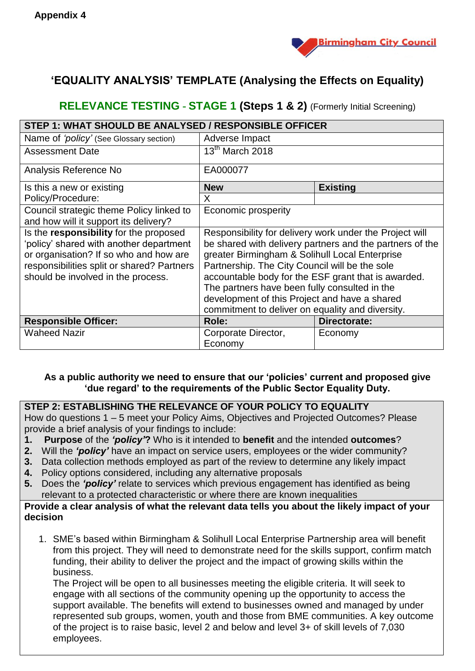

# **'EQUALITY ANALYSIS' TEMPLATE (Analysing the Effects on Equality)**

## **RELEVANCE TESTING - STAGE 1 (Steps 1 & 2)** (Formerly Initial Screening)

| STEP 1: WHAT SHOULD BE ANALYSED / RESPONSIBLE OFFICER                                                                                                                                                           |                                                                                                                                                                                                                                                                                                                                                                                                                                      |                 |  |  |
|-----------------------------------------------------------------------------------------------------------------------------------------------------------------------------------------------------------------|--------------------------------------------------------------------------------------------------------------------------------------------------------------------------------------------------------------------------------------------------------------------------------------------------------------------------------------------------------------------------------------------------------------------------------------|-----------------|--|--|
| Name of 'policy' (See Glossary section)                                                                                                                                                                         | Adverse Impact                                                                                                                                                                                                                                                                                                                                                                                                                       |                 |  |  |
| <b>Assessment Date</b>                                                                                                                                                                                          | 13 <sup>th</sup> March 2018                                                                                                                                                                                                                                                                                                                                                                                                          |                 |  |  |
| Analysis Reference No                                                                                                                                                                                           | EA000077                                                                                                                                                                                                                                                                                                                                                                                                                             |                 |  |  |
| Is this a new or existing                                                                                                                                                                                       | <b>New</b>                                                                                                                                                                                                                                                                                                                                                                                                                           | <b>Existing</b> |  |  |
| Policy/Procedure:                                                                                                                                                                                               | X.                                                                                                                                                                                                                                                                                                                                                                                                                                   |                 |  |  |
| Council strategic theme Policy linked to<br>and how will it support its delivery?                                                                                                                               | Economic prosperity                                                                                                                                                                                                                                                                                                                                                                                                                  |                 |  |  |
| Is the responsibility for the proposed<br>'policy' shared with another department<br>or organisation? If so who and how are<br>responsibilities split or shared? Partners<br>should be involved in the process. | Responsibility for delivery work under the Project will<br>be shared with delivery partners and the partners of the<br>greater Birmingham & Solihull Local Enterprise<br>Partnership. The City Council will be the sole<br>accountable body for the ESF grant that is awarded.<br>The partners have been fully consulted in the<br>development of this Project and have a shared<br>commitment to deliver on equality and diversity. |                 |  |  |
| <b>Responsible Officer:</b>                                                                                                                                                                                     | Role:                                                                                                                                                                                                                                                                                                                                                                                                                                | Directorate:    |  |  |
| <b>Waheed Nazir</b>                                                                                                                                                                                             | Corporate Director,<br>Economy                                                                                                                                                                                                                                                                                                                                                                                                       | Economy         |  |  |

#### **As a public authority we need to ensure that our 'policies' current and proposed give 'due regard' to the requirements of the Public Sector Equality Duty.**

### **STEP 2: ESTABLISHING THE RELEVANCE OF YOUR POLICY TO EQUALITY**

How do questions 1 – 5 meet your Policy Aims, Objectives and Projected Outcomes? Please provide a brief analysis of your findings to include:

- **1. Purpose** of the *'policy'***?** Who is it intended to **benefit** and the intended **outcomes**?
- **2.** Will the *'policy'* have an impact on service users, employees or the wider community?
- **3.** Data collection methods employed as part of the review to determine any likely impact
- **4.** Policy options considered, including any alternative proposals
- **5.** Does the *'policy'* relate to services which previous engagement has identified as being relevant to a protected characteristic or where there are known inequalities

#### **Provide a clear analysis of what the relevant data tells you about the likely impact of your decision**

1. SME's based within Birmingham & Solihull Local Enterprise Partnership area will benefit from this project. They will need to demonstrate need for the skills support, confirm match funding, their ability to deliver the project and the impact of growing skills within the business.

The Project will be open to all businesses meeting the eligible criteria. It will seek to engage with all sections of the community opening up the opportunity to access the support available. The benefits will extend to businesses owned and managed by under represented sub groups, women, youth and those from BME communities. A key outcome of the project is to raise basic, level 2 and below and level 3+ of skill levels of 7,030 employees.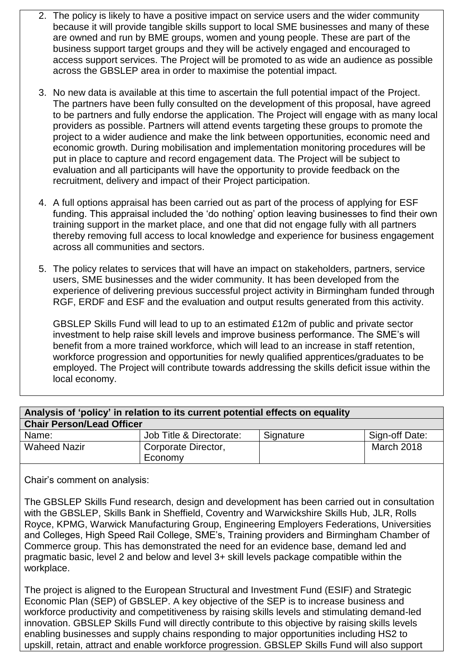- 2. The policy is likely to have a positive impact on service users and the wider community because it will provide tangible skills support to local SME businesses and many of these are owned and run by BME groups, women and young people. These are part of the business support target groups and they will be actively engaged and encouraged to access support services. The Project will be promoted to as wide an audience as possible across the GBSLEP area in order to maximise the potential impact.
- 3. No new data is available at this time to ascertain the full potential impact of the Project. The partners have been fully consulted on the development of this proposal, have agreed to be partners and fully endorse the application. The Project will engage with as many local providers as possible. Partners will attend events targeting these groups to promote the project to a wider audience and make the link between opportunities, economic need and economic growth. During mobilisation and implementation monitoring procedures will be put in place to capture and record engagement data. The Project will be subject to evaluation and all participants will have the opportunity to provide feedback on the recruitment, delivery and impact of their Project participation.
- 4. A full options appraisal has been carried out as part of the process of applying for ESF funding. This appraisal included the 'do nothing' option leaving businesses to find their own training support in the market place, and one that did not engage fully with all partners thereby removing full access to local knowledge and experience for business engagement across all communities and sectors.

5. The policy relates to services that will have an impact on stakeholders, partners, service users, SME businesses and the wider community. It has been developed from the experience of delivering previous successful project activity in Birmingham funded through RGF, ERDF and ESF and the evaluation and output results generated from this activity.

GBSLEP Skills Fund will lead to up to an estimated £12m of public and private sector investment to help raise skill levels and improve business performance. The SME's will benefit from a more trained workforce, which will lead to an increase in staff retention, workforce progression and opportunities for newly qualified apprentices/graduates to be employed. The Project will contribute towards addressing the skills deficit issue within the local economy.

| Analysis of 'policy' in relation to its current potential effects on equality |                          |           |                |  |  |
|-------------------------------------------------------------------------------|--------------------------|-----------|----------------|--|--|
| <b>Chair Person/Lead Officer</b>                                              |                          |           |                |  |  |
| Name:                                                                         | Job Title & Directorate: | Signature | Sign-off Date: |  |  |
| <b>Waheed Nazir</b>                                                           | Corporate Director,      |           | March 2018     |  |  |
|                                                                               | Economy                  |           |                |  |  |

Chair's comment on analysis:

The GBSLEP Skills Fund research, design and development has been carried out in consultation with the GBSLEP, Skills Bank in Sheffield, Coventry and Warwickshire Skills Hub, JLR, Rolls Royce, KPMG, Warwick Manufacturing Group, Engineering Employers Federations, Universities and Colleges, High Speed Rail College, SME's, Training providers and Birmingham Chamber of Commerce group. This has demonstrated the need for an evidence base, demand led and pragmatic basic, level 2 and below and level 3+ skill levels package compatible within the workplace.

The project is aligned to the European Structural and Investment Fund (ESIF) and Strategic Economic Plan (SEP) of GBSLEP. A key objective of the SEP is to increase business and workforce productivity and competitiveness by raising skills levels and stimulating demand-led innovation. GBSLEP Skills Fund will directly contribute to this objective by raising skills levels enabling businesses and supply chains responding to major opportunities including HS2 to upskill, retain, attract and enable workforce progression. GBSLEP Skills Fund will also support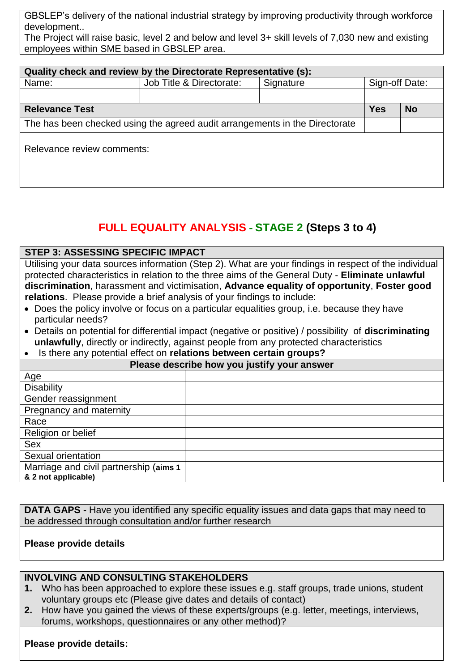GBSLEP's delivery of the national industrial strategy by improving productivity through workforce development..

The Project will raise basic, level 2 and below and level 3+ skill levels of 7,030 new and existing employees within SME based in GBSLEP area.

| Quality check and review by the Directorate Representative (s):             |                          |           |                |  |  |  |
|-----------------------------------------------------------------------------|--------------------------|-----------|----------------|--|--|--|
| Name:                                                                       | Job Title & Directorate: | Signature | Sign-off Date: |  |  |  |
|                                                                             |                          |           |                |  |  |  |
| <b>Relevance Test</b>                                                       | <b>Yes</b>               | <b>No</b> |                |  |  |  |
| The has been checked using the agreed audit arrangements in the Directorate |                          |           |                |  |  |  |
| Relevance review comments:                                                  |                          |           |                |  |  |  |

# **FULL EQUALITY ANALYSIS - STAGE 2 (Steps 3 to 4)**

#### **STEP 3: ASSESSING SPECIFIC IMPACT**

Utilising your data sources information (Step 2). What are your findings in respect of the individual protected characteristics in relation to the three aims of the General Duty - **Eliminate unlawful discrimination**, harassment and victimisation, **Advance equality of opportunity**, **Foster good relations**. Please provide a brief analysis of your findings to include:

- Does the policy involve or focus on a particular equalities group, i.e. because they have particular needs?
- Details on potential for differential impact (negative or positive) / possibility of **discriminating unlawfully**, directly or indirectly, against people from any protected characteristics
- Is there any potential effect on **relations between certain groups?**

| Please describe how you justify your answer |  |  |  |
|---------------------------------------------|--|--|--|
| Age                                         |  |  |  |
| <b>Disability</b>                           |  |  |  |
| Gender reassignment                         |  |  |  |
| Pregnancy and maternity                     |  |  |  |
| Race                                        |  |  |  |
| Religion or belief                          |  |  |  |
| Sex                                         |  |  |  |
| Sexual orientation                          |  |  |  |
| Marriage and civil partnership (aims 1      |  |  |  |
| & 2 not applicable)                         |  |  |  |

**DATA GAPS** - Have you identified any specific equality issues and data gaps that may need to be addressed through consultation and/or further research

#### **Please provide details**

#### **INVOLVING AND CONSULTING STAKEHOLDERS**

- **1.** Who has been approached to explore these issues e.g. staff groups, trade unions, student voluntary groups etc (Please give dates and details of contact)
- **2.** How have you gained the views of these experts/groups (e.g. letter, meetings, interviews, forums, workshops, questionnaires or any other method)?

#### **Please provide details:**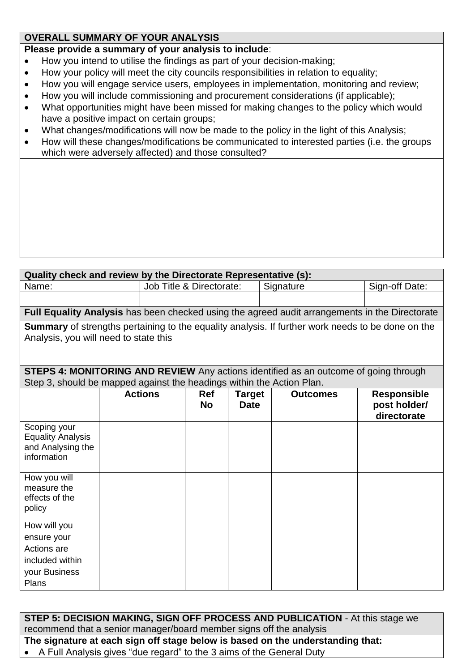### **OVERALL SUMMARY OF YOUR ANALYSIS**

#### **Please provide a summary of your analysis to include**:

- How you intend to utilise the findings as part of your decision-making;
- How your policy will meet the city councils responsibilities in relation to equality;
- How you will engage service users, employees in implementation, monitoring and review;
- How you will include commissioning and procurement considerations (if applicable);
- What opportunities might have been missed for making changes to the policy which would have a positive impact on certain groups;
- What changes/modifications will now be made to the policy in the light of this Analysis;
- How will these changes/modifications be communicated to interested parties (i.e. the groups which were adversely affected) and those consulted?

| Quality check and review by the Directorate Representative (s):       |  |                                       |            |                |                                                                                                          |                    |
|-----------------------------------------------------------------------|--|---------------------------------------|------------|----------------|----------------------------------------------------------------------------------------------------------|--------------------|
| Name:                                                                 |  | Job Title & Directorate:<br>Signature |            | Sign-off Date: |                                                                                                          |                    |
|                                                                       |  |                                       |            |                |                                                                                                          |                    |
|                                                                       |  |                                       |            |                | Full Equality Analysis has been checked using the agreed audit arrangements in the Directorate           |                    |
|                                                                       |  |                                       |            |                | <b>Summary</b> of strengths pertaining to the equality analysis. If further work needs to be done on the |                    |
| Analysis, you will need to state this                                 |  |                                       |            |                |                                                                                                          |                    |
|                                                                       |  |                                       |            |                |                                                                                                          |                    |
|                                                                       |  |                                       |            |                | <b>STEPS 4: MONITORING AND REVIEW</b> Any actions identified as an outcome of going through              |                    |
| Step 3, should be mapped against the headings within the Action Plan. |  |                                       |            |                |                                                                                                          |                    |
|                                                                       |  | <b>Actions</b>                        | <b>Ref</b> | <b>Target</b>  | <b>Outcomes</b>                                                                                          | <b>Responsible</b> |
|                                                                       |  |                                       | <b>No</b>  | <b>Date</b>    |                                                                                                          | post holder/       |
|                                                                       |  |                                       |            |                |                                                                                                          | directorate        |
| Scoping your                                                          |  |                                       |            |                |                                                                                                          |                    |
| <b>Equality Analysis</b>                                              |  |                                       |            |                |                                                                                                          |                    |
| and Analysing the<br>information                                      |  |                                       |            |                |                                                                                                          |                    |
|                                                                       |  |                                       |            |                |                                                                                                          |                    |
| How you will                                                          |  |                                       |            |                |                                                                                                          |                    |
| measure the                                                           |  |                                       |            |                |                                                                                                          |                    |
| effects of the                                                        |  |                                       |            |                |                                                                                                          |                    |
| policy                                                                |  |                                       |            |                |                                                                                                          |                    |
| How will you                                                          |  |                                       |            |                |                                                                                                          |                    |
| ensure your                                                           |  |                                       |            |                |                                                                                                          |                    |
| Actions are                                                           |  |                                       |            |                |                                                                                                          |                    |
| included within                                                       |  |                                       |            |                |                                                                                                          |                    |
| your Business                                                         |  |                                       |            |                |                                                                                                          |                    |
| Plans                                                                 |  |                                       |            |                |                                                                                                          |                    |

**STEP 5: DECISION MAKING, SIGN OFF PROCESS AND PUBLICATION** - At this stage we recommend that a senior manager/board member signs off the analysis

**The signature at each sign off stage below is based on the understanding that:**

A Full Analysis gives "due regard" to the 3 aims of the General Duty